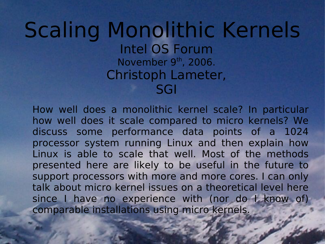#### Scaling Monolithic Kernels Intel OS Forum November 9<sup>th</sup>, 2006. Christoph Lameter, SGI

How well does a monolithic kernel scale? In particular how well does it scale compared to micro kernels? We discuss some performance data points of a 1024 processor system running Linux and then explain how Linux is able to scale that well. Most of the methods presented here are likely to be useful in the future to support processors with more and more cores. I can only talk about micro kernel issues on a theoretical level here since I have no experience with (nor do I know of) comparable installations using micro kernels.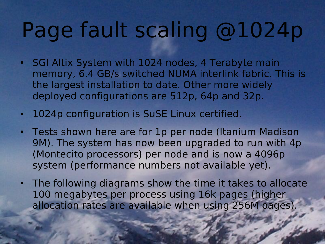# Page fault scaling @1024p

- SGI Altix System with 1024 nodes, 4 Terabyte main memory, 6.4 GB/s switched NUMA interlink fabric. This is the largest installation to date. Other more widely deployed configurations are 512p, 64p and 32p.
- 1024p configuration is SuSE Linux certified.
- Tests shown here are for 1p per node (Itanium Madison 9M). The system has now been upgraded to run with 4p (Montecito processors) per node and is now a 4096p system (performance numbers not available yet).
- The following diagrams show the time it takes to allocate 100 megabytes per process using 16k pages (higher allocation rates are available when using 256M pages).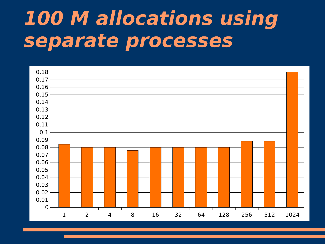#### **100 M allocations using separate processes**

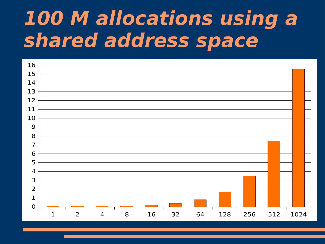#### **M allocations using a shared address space**

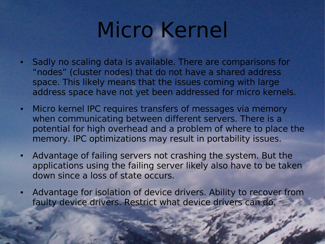## Micro Kernel

- Sadly no scaling data is available. There are comparisons for "nodes" (cluster nodes) that do not have a shared address space. This likely means that the issues coming with large address space have not yet been addressed for micro kernels.
- Micro kernel IPC requires transfers of messages via memory when communicating between different servers. There is a potential for high overhead and a problem of where to place the memory. IPC optimizations may result in portability issues.
- Advantage of failing servers not crashing the system. But the applications using the failing server likely also have to be taken down since a loss of state occurs.
- Advantage for isolation of device drivers. Ability to recover from faulty device drivers. Restrict what device drivers can do.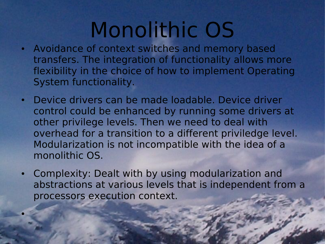## Monolithic OS

- Avoidance of context switches and memory based transfers. The integration of functionality allows more flexibility in the choice of how to implement Operating System functionality.
- Device drivers can be made loadable. Device driver control could be enhanced by running some drivers at other privilege levels. Then we need to deal with overhead for a transition to a different priviledge level. Modularization is not incompatible with the idea of a monolithic OS.
- Complexity: Dealt with by using modularization and abstractions at various levels that is independent from a processors execution context.

●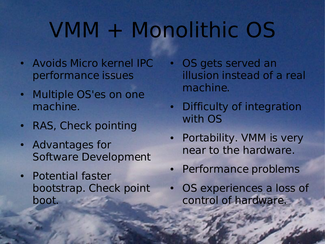# VMM + Monolithic OS

- Avoids Micro kernel IPC performance issues
- Multiple OS'es on one machine.
- RAS, Check pointing
- Advantages for Software Development
- Potential faster bootstrap. Check point boot.
- OS gets served an illusion instead of a real machine.
- Difficulty of integration with OS
- Portability. VMM is very near to the hardware.
- Performance problems
- OS experiences a loss of control of hardware.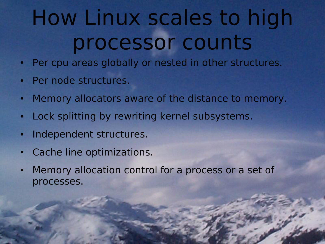# How Linux scales to high processor counts

- Per cpu areas globally or nested in other structures.
- Per node structures.
- Memory allocators aware of the distance to memory.
- Lock splitting by rewriting kernel subsystems.
- Independent structures.
- Cache line optimizations.
- Memory allocation control for a process or a set of processes.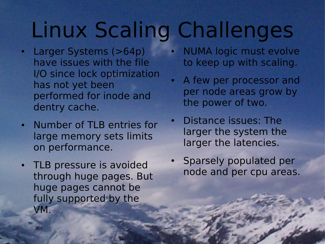# Linux Scaling Challenges

- Larger Systems (>64p) have issues with the file I/O since lock optimization has not yet been performed for inode and dentry cache.
- Number of TLB entries for large memory sets limits on performance.
- TLB pressure is avoided through huge pages. But huge pages cannot be fully supported by the VM.
- **NUMA logic must evolve** to keep up with scaling.
- A few per processor and per node areas grow by the power of two.
- Distance issues: The larger the system the larger the latencies.
- Sparsely populated per node and per cpu areas.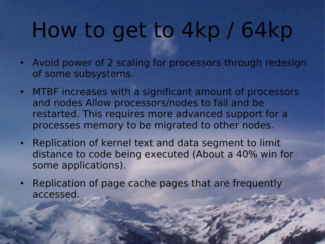# How to get to 4kp / 64kp

- Avoid power of 2 scaling for processors through redesign of some subsystems.
- MTBF increases with a significant amount of processors and nodes Allow processors/nodes to fail and be restarted. This requires more advanced support for a processes memory to be migrated to other nodes.
- Replication of kernel text and data segment to limit distance to code being executed (About a 40% win for some applications).
- Replication of page cache pages that are frequently accessed.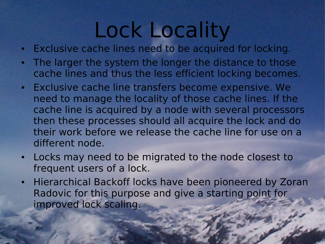#### Lock Locality

- Exclusive cache lines need to be acquired for locking.
- The larger the system the longer the distance to those cache lines and thus the less efficient locking becomes.
- Exclusive cache line transfers become expensive. We need to manage the locality of those cache lines. If the cache line is acquired by a node with several processors then these processes should all acquire the lock and do their work before we release the cache line for use on a different node.
- Locks may need to be migrated to the node closest to frequent users of a lock.
- Hierarchical Backoff locks have been pioneered by Zoran Radovic for this purpose and give a starting point for improved lock scaling.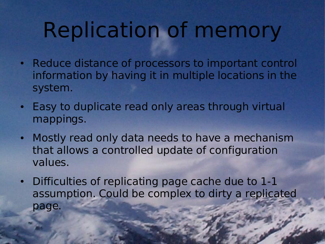## Replication of memory

- Reduce distance of processors to important control information by having it in multiple locations in the system.
- Easy to duplicate read only areas through virtual mappings.
- Mostly read only data needs to have a mechanism that allows a controlled update of configuration values.
- Difficulties of replicating page cache due to 1-1 assumption. Could be complex to dirty a replicated page.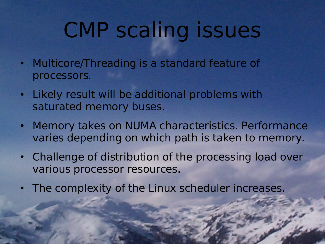## CMP scaling issues

- Multicore/Threading is a standard feature of processors.
- Likely result will be additional problems with saturated memory buses.
- Memory takes on NUMA characteristics. Performance varies depending on which path is taken to memory.
- Challenge of distribution of the processing load over various processor resources.
- The complexity of the Linux scheduler increases.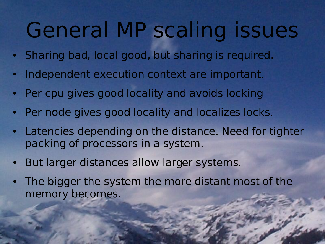## General MP scaling issues

- Sharing bad, local good, but sharing is required.
- Independent execution context are important.
- Per cpu gives good locality and avoids locking
- Per node gives good locality and localizes locks.
- Latencies depending on the distance. Need for tighter packing of processors in a system.
- But larger distances allow larger systems.
- The bigger the system the more distant most of the memory becomes.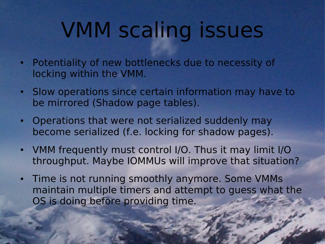# VMM scaling issues

- Potentiality of new bottlenecks due to necessity of locking within the VMM.
- Slow operations since certain information may have to be mirrored (Shadow page tables).
- Operations that were not serialized suddenly may become serialized (f.e. locking for shadow pages).
- VMM frequently must control I/O. Thus it may limit I/O throughput. Maybe IOMMUs will improve that situation?
- Time is not running smoothly anymore. Some VMMs maintain multiple timers and attempt to guess what the OS is doing before providing time.